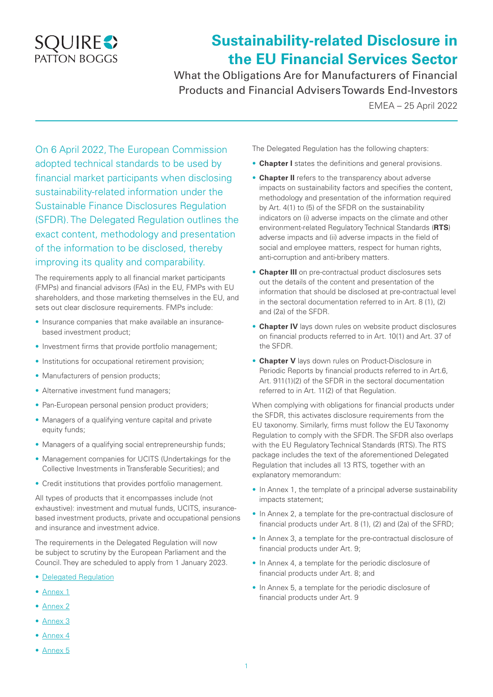

## **Sustainability-related Disclosure in the EU Financial Services Sector**

What the Obligations Are for Manufacturers of Financial Products and Financial Advisers Towards End-Investors

EMEA – 25 April 2022

On 6 April 2022, The European Commission adopted technical standards to be used by financial market participants when disclosing sustainability-related information under the Sustainable Finance Disclosures Regulation (SFDR). The Delegated Regulation outlines the exact content, methodology and presentation of the information to be disclosed, thereby improving its quality and comparability.

The requirements apply to all financial market participants (FMPs) and financial advisors (FAs) in the EU, FMPs with EU shareholders, and those marketing themselves in the EU, and sets out clear disclosure requirements. FMPs include:

- Insurance companies that make available an insurancebased investment product;
- Investment firms that provide portfolio management;
- Institutions for occupational retirement provision;
- Manufacturers of pension products;
- Alternative investment fund managers;
- Pan-European personal pension product providers;
- Managers of a qualifying venture capital and private equity funds;
- Managers of a qualifying social entrepreneurship funds;
- Management companies for UCITS (Undertakings for the Collective Investments in Transferable Securities); and
- Credit institutions that provides portfolio management.

All types of products that it encompasses include (not exhaustive): investment and mutual funds, UCITS, insurancebased investment products, private and occupational pensions and insurance and investment advice.

The requirements in the Delegated Regulation will now be subject to scrutiny by the European Parliament and the Council. They are scheduled to apply from 1 January 2023.

- [Delegated Regulation](https://ec.europa.eu/finance/docs/level-2-measures/C_2022_1931_1_EN_ACT_part1_v6 (1).pdf)
- [Annex 1](https://ec.europa.eu/finance/docs/level-2-measures/C_2022_1931_1_EN_annexe_acte_autonome_part1_v6.pdf)
- [Annex 2](https://ec.europa.eu/finance/docs/level-2-measures/C_2022_1931_2_EN_annexe_acte_autonome_cp_part1_v5.pdf)
- [Annex 3](https://ec.europa.eu/finance/docs/level-2-measures/C_2022_1931_3_EN_annexe_acte_autonome_cp_part1_v5.pdf)
- [Annex 4](https://ec.europa.eu/finance/docs/level-2-measures/C_2022_1931_4_EN_annexe_acte_autonome_cp_part1_v5.pdf)
- [Annex 5](https://ec.europa.eu/finance/docs/level-2-measures/C_2022_1931_5_EN_annexe_acte_autonome_cp_part1_v5.pdf)

The Delegated Regulation has the following chapters:

- **Chapter I** states the definitions and general provisions.
- **Chapter II** refers to the transparency about adverse impacts on sustainability factors and specifies the content, methodology and presentation of the information required by Art. 4(1) to (5) of the SFDR on the sustainability indicators on (i) adverse impacts on the climate and other environment-related Regulatory Technical Standards (**RTS**) adverse impacts and (ii) adverse impacts in the field of social and employee matters, respect for human rights, anti-corruption and anti-bribery matters.
- **Chapter III** on pre-contractual product disclosures sets out the details of the content and presentation of the information that should be disclosed at pre-contractual level in the sectoral documentation referred to in Art. 8 (1), (2) and (2a) of the SFDR.
- **Chapter IV** lays down rules on website product disclosures on financial products referred to in Art. 10(1) and Art. 37 of the SFDR.
- **Chapter V** lays down rules on Product-Disclosure in Periodic Reports by financial products referred to in Art.6, Art. 911(1)(2) of the SFDR in the sectoral documentation referred to in Art. 11(2) of that Regulation.

When complying with obligations for financial products under the SFDR, this activates disclosure requirements from the EU taxonomy. Similarly, firms must follow the EU Taxonomy Regulation to comply with the SFDR. The SFDR also overlaps with the EU Regulatory Technical Standards (RTS). The RTS package includes the text of the aforementioned Delegated Regulation that includes all 13 RTS, together with an explanatory memorandum:

- In Annex 1, the template of a principal adverse sustainability impacts statement;
- In Annex 2, a template for the pre-contractual disclosure of financial products under Art. 8 (1), (2) and (2a) of the SFRD;
- In Annex 3, a template for the pre-contractual disclosure of financial products under Art. 9;
- In Annex 4, a template for the periodic disclosure of financial products under Art. 8; and
- In Annex 5, a template for the periodic disclosure of financial products under Art. 9